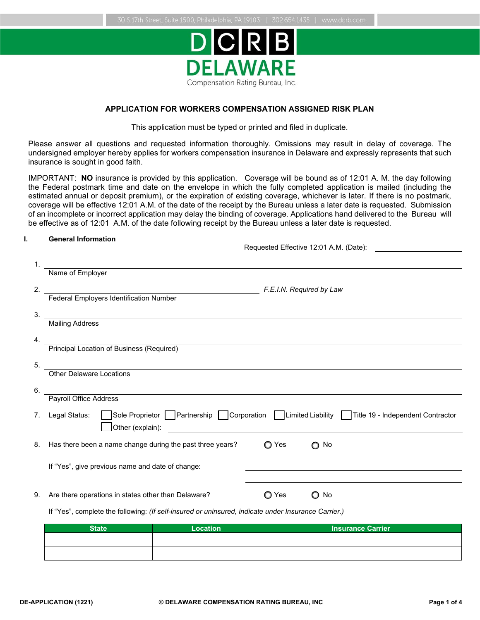

# **APPLICATION FOR WORKERS COMPENSATION ASSIGNED RISK PLAN**

This application must be typed or printed and filed in duplicate.

Please answer all questions and requested information thoroughly. Omissions may result in delay of coverage. The undersigned employer hereby applies for workers compensation insurance in Delaware and expressly represents that such insurance is sought in good faith.

IMPORTANT: **NO** insurance is provided by this application. Coverage will be bound as of 12:01 A. M. the day following the Federal postmark time and date on the envelope in which the fully completed application is mailed (including the estimated annual or deposit premium), or the expiration of existing coverage, whichever is later. If there is no postmark, coverage will be effective 12:01 A.M. of the date of the receipt by the Bureau unless a later date is requested. Submission of an incomplete or incorrect application may delay the binding of coverage. Applications hand delivered to the Bureau will be effective as of 12:01 A.M. of the date following receipt by the Bureau unless a later date is requested.

### **I. General Information**

Requested Effective 12:01 A.M. (Date):

| 1. |                                                                                                     |       |                                                                                             |
|----|-----------------------------------------------------------------------------------------------------|-------|---------------------------------------------------------------------------------------------|
|    | Name of Employer                                                                                    |       |                                                                                             |
| 2. |                                                                                                     |       | F.E.I.N. Required by Law                                                                    |
|    | <b>Federal Employers Identification Number</b>                                                      |       |                                                                                             |
| 3. |                                                                                                     |       |                                                                                             |
|    | <b>Mailing Address</b>                                                                              |       |                                                                                             |
| 4. |                                                                                                     |       |                                                                                             |
|    | Principal Location of Business (Required)                                                           |       |                                                                                             |
| 5. |                                                                                                     |       |                                                                                             |
|    | Other Delaware Locations                                                                            |       |                                                                                             |
| 6. |                                                                                                     |       |                                                                                             |
|    | Payroll Office Address                                                                              |       |                                                                                             |
| 7. | Legal Status:<br>Other (explain):                                                                   |       | Sole Proprietor Partnership Corporation Limited Liability Title 19 - Independent Contractor |
|    |                                                                                                     |       |                                                                                             |
| 8. | Has there been a name change during the past three years?                                           | ◯ Yes | No<br>O                                                                                     |
|    |                                                                                                     |       |                                                                                             |
|    | If "Yes", give previous name and date of change:                                                    |       |                                                                                             |
|    |                                                                                                     |       |                                                                                             |
| 9. | Are there operations in states other than Delaware?                                                 | ◯ Yes | O<br>No                                                                                     |
|    | If "Yes", complete the following: (If self-insured or uninsured, indicate under Insurance Carrier.) |       |                                                                                             |
|    |                                                                                                     |       |                                                                                             |

| <b>State</b> | <b>Location</b> | <b>Insurance Carrier</b> |
|--------------|-----------------|--------------------------|
|              |                 |                          |
|              |                 |                          |
|              |                 |                          |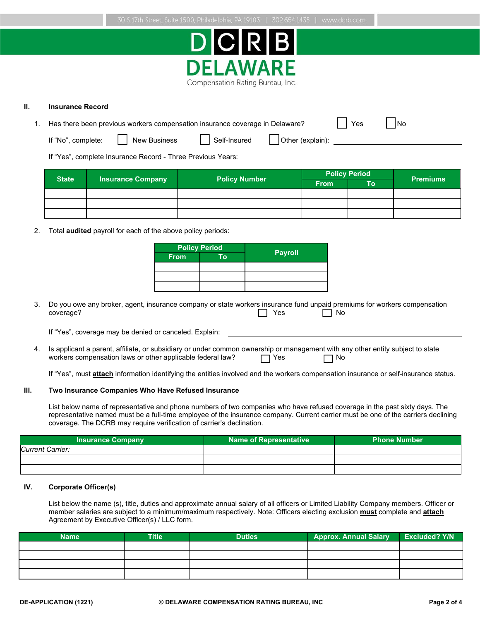



### **II. Insurance Record**

| 1. Has there been previous workers compensation insurance coverage in Delaware? |  |  |
|---------------------------------------------------------------------------------|--|--|
|                                                                                 |  |  |

If "No", complete: New Business Self-Insured Other (explain):

If "Yes", complete Insurance Record - Three Previous Years:

| <b>State</b> |                          |                      |             | <b>Policy Period</b> | <b>Premiums</b> |  |
|--------------|--------------------------|----------------------|-------------|----------------------|-----------------|--|
|              | <b>Insurance Company</b> | <b>Policy Number</b> | <b>From</b> | To                   |                 |  |
|              |                          |                      |             |                      |                 |  |
|              |                          |                      |             |                      |                 |  |
|              |                          |                      |             |                      |                 |  |

2. Total **audited** payroll for each of the above policy periods:

|             | <b>Policy Period</b> |                |
|-------------|----------------------|----------------|
| <b>From</b> | Гο                   | <b>Payroll</b> |
|             |                      |                |
|             |                      |                |
|             |                      |                |

3. Do you owe any broker, agent, insurance company or state workers insurance fund unpaid premiums for workers compensation coverage? coverage? Yes No

If "Yes", coverage may be denied or canceled. Explain:

4. Is applicant a parent, affiliate, or subsidiary or under common ownership or management with any other entity subject to state workers compensation laws or other applicable federal law?  $\Box$  Yes  $\Box$  No

If "Yes", must **attach** information identifying the entities involved and the workers compensation insurance or self-insurance status.

#### **III. Two Insurance Companies Who Have Refused Insurance**

List below name of representative and phone numbers of two companies who have refused coverage in the past sixty days. The representative named must be a full-time employee of the insurance company. Current carrier must be one of the carriers declining coverage. The DCRB may require verification of carrier's declination.

| <b>Insurance Company</b> | Name of Representative | <b>Phone Number</b> |
|--------------------------|------------------------|---------------------|
| Current Carrier:         |                        |                     |
|                          |                        |                     |
|                          |                        |                     |

## **IV. Corporate Officer(s)**

List below the name (s), title, duties and approximate annual salary of all officers or Limited Liability Company members. Officer or member salaries are subject to a minimum/maximum respectively. Note: Officers electing exclusion **must** complete and **attach** Agreement by Executive Officer(s) / LLC form.

| <b>Name</b> | <b>Title</b> | <b>Duties</b> | <b>Approx. Annual Salary</b> | <b>Excluded? Y/N</b> |
|-------------|--------------|---------------|------------------------------|----------------------|
|             |              |               |                              |                      |
|             |              |               |                              |                      |
|             |              |               |                              |                      |
|             |              |               |                              |                      |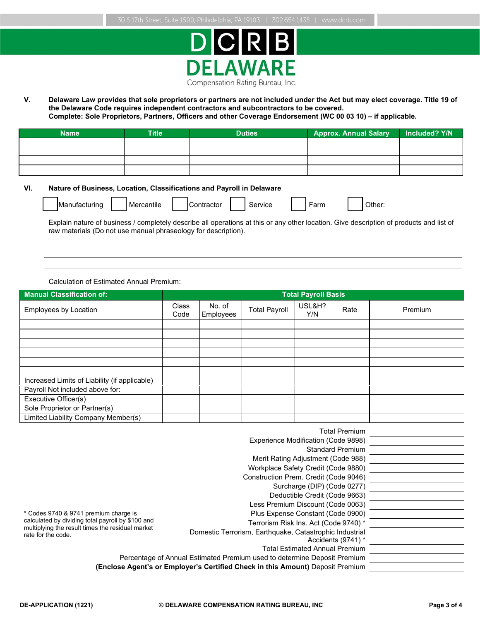

**V. Delaware Law provides that sole proprietors or partners are not included under the Act but may elect coverage. Title 19 of the Delaware Code requires independent contractors and subcontractors to be covered. Complete: Sole Proprietors, Partners, Officers and other Coverage Endorsement (WC 00 03 10) – if applicable.**

| <b>Name</b> | <b>Title</b> | <b>Duties</b> | <b>Approx. Annual Salary</b> | Included? Y/N |
|-------------|--------------|---------------|------------------------------|---------------|
|             |              |               |                              |               |
|             |              |               |                              |               |
|             |              |               |                              |               |
|             |              |               |                              |               |

### **VI. Nature of Business, Location, Classifications and Payroll in Delaware**

| IManufacturing | Mercantile | ontractor | Service | orry |  |
|----------------|------------|-----------|---------|------|--|
|                |            |           |         |      |  |

Accidents (9741) \*

Explain nature of business / completely describe all operations at this or any other location. Give description of products and list of raw materials (Do not use manual phraseology for description).

Calculation of Estimated Annual Premium:

| <b>Manual Classification of:</b>                  |                      |                     |                                                                            | <b>Total Payroll Basis</b> |                               |         |
|---------------------------------------------------|----------------------|---------------------|----------------------------------------------------------------------------|----------------------------|-------------------------------|---------|
| <b>Employees by Location</b>                      | <b>Class</b><br>Code | No. of<br>Employees | <b>Total Payroll</b>                                                       | USL&H?<br>Y/N              | Rate                          | Premium |
|                                                   |                      |                     |                                                                            |                            |                               |         |
|                                                   |                      |                     |                                                                            |                            |                               |         |
|                                                   |                      |                     |                                                                            |                            |                               |         |
|                                                   |                      |                     |                                                                            |                            |                               |         |
|                                                   |                      |                     |                                                                            |                            |                               |         |
|                                                   |                      |                     |                                                                            |                            |                               |         |
| Increased Limits of Liability (if applicable)     |                      |                     |                                                                            |                            |                               |         |
| Payroll Not included above for:                   |                      |                     |                                                                            |                            |                               |         |
| Executive Officer(s)                              |                      |                     |                                                                            |                            |                               |         |
| Sole Proprietor or Partner(s)                     |                      |                     |                                                                            |                            |                               |         |
| Limited Liability Company Member(s)               |                      |                     |                                                                            |                            |                               |         |
|                                                   |                      |                     |                                                                            |                            | <b>Total Premium</b>          |         |
|                                                   |                      |                     | Experience Modification (Code 9898)                                        |                            |                               |         |
|                                                   |                      |                     |                                                                            |                            | <b>Standard Premium</b>       |         |
|                                                   |                      |                     | Merit Rating Adjustment (Code 988)                                         |                            |                               |         |
|                                                   |                      |                     | Workplace Safety Credit (Code 9880)                                        |                            |                               |         |
|                                                   |                      |                     | Construction Prem. Credit (Code 9046)                                      |                            |                               |         |
|                                                   |                      |                     | Surcharge (DIP) (Code 0277)                                                |                            |                               |         |
|                                                   |                      |                     |                                                                            |                            | Deductible Credit (Code 9663) |         |
|                                                   |                      |                     | Less Premium Discount (Code 0063)                                          |                            |                               |         |
| * Codes 9740 & 9741 premium charge is             |                      |                     | Plus Expense Constant (Code 0900)<br>Terrorism Risk Ins. Act (Code 9740) * |                            |                               |         |
| calculated by dividing total payroll by \$100 and |                      |                     |                                                                            |                            |                               |         |

calculated by dividing total payroll by \$100 and multiplying the result times the residual market rate for the code.

Domestic Terrorism, Earthquake, Catastrophic Industrial Total Estimated Annual Premium

Percentage of Annual Estimated Premium used to determine Deposit Premium

**(Enclose Agent's or Employer's Certified Check in this Amount)** Deposit Premium